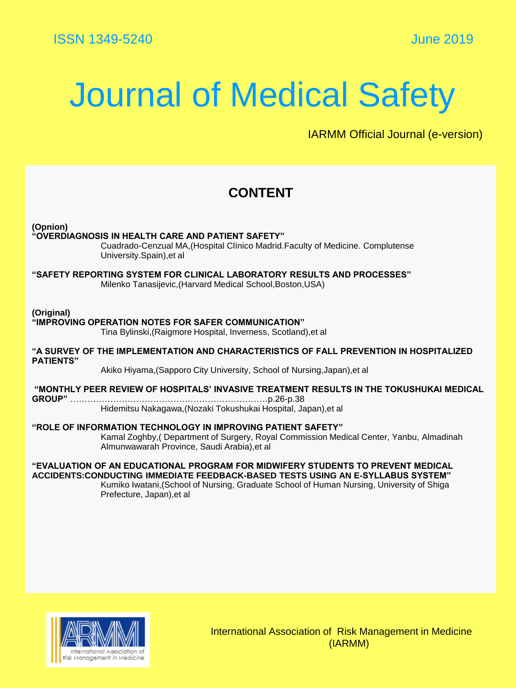## Journal of Medical Safety

IARMM Official Journal (e-version)

## **CONTENT**

**(Opnion)**

### **"OVERDIAGNOSIS IN HEALTH CARE AND PATIENT SAFETY"**

Cuadrado-Cenzual MA,(Hospital Clínico Madrid.Faculty of Medicine. Complutense University.Spain),et al

**"SAFETY REPORTING SYSTEM FOR CLINICAL LABORATORY RESULTS AND PROCESSES"** Milenko Tanasijevic,(Harvard Medical School,Boston,USA)

**(Original)**

### **"IMPROVING OPERATION NOTES FOR SAFER COMMUNICATION"**

Tina Bylinski,(Raigmore Hospital, Inverness, Scotland),et al

**"A SURVEY OF THE IMPLEMENTATION AND CHARACTERISTICS OF FALL PREVENTION IN HOSPITALIZED PATIENTS"** 

Akiko Hiyama,(Sapporo City University, School of Nursing,Japan),et al

**"MONTHLY PEER REVIEW OF HOSPITALS' INVASIVE TREATMENT RESULTS IN THE TOKUSHUKAI MEDICAL GROUP"** ……………………………………………………………p.26-p.38 Hidemitsu Nakagawa,(Nozaki Tokushukai Hospital, Japan),et al

**"ROLE OF INFORMATION TECHNOLOGY IN IMPROVING PATIENT SAFETY"**

Kamal Zoghby,( Department of Surgery, Royal Commission Medical Center, Yanbu, Almadinah Almunwawarah Province, Saudi Arabia),et al

### **"EVALUATION OF AN EDUCATIONAL PROGRAM FOR MIDWIFERY STUDENTS TO PREVENT MEDICAL ACCIDENTS:CONDUCTING IMMEDIATE FEEDBACK-BASED TESTS USING AN E-SYLLABUS SYSTEM"**

Kumiko Iwatani,(School of Nursing, Graduate School of Human Nursing, University of Shiga Prefecture, Japan),et al



International Association of Risk Management in Medicine (IARMM)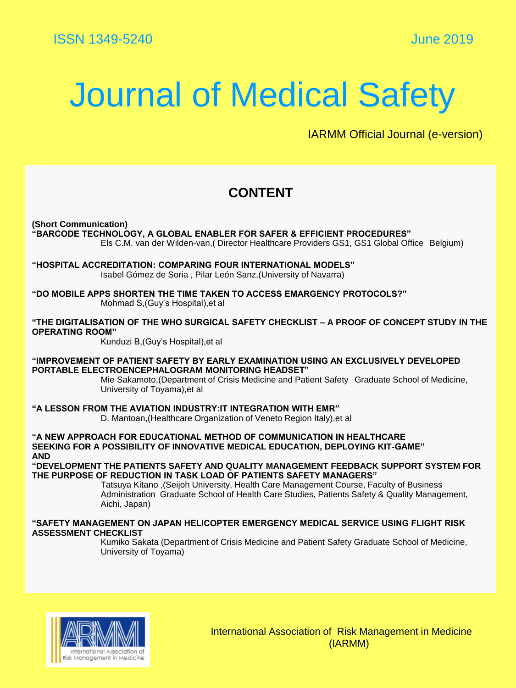## Journal of Medical Safety

IARMM Official Journal (e-version)

## **CONTENT**

**(Short Communication)**

**"BARCODE TECHNOLOGY, A GLOBAL ENABLER FOR SAFER & EFFICIENT PROCEDURES"** Els C.M. van der Wilden-van,( Director Healthcare Providers GS1, GS1 Global Office Belgium)

**"HOSPITAL ACCREDITATION: COMPARING FOUR INTERNATIONAL MODELS"**  Isabel Gómez de Soria , Pilar León Sanz,(University of Navarra)

**"DO MOBILE APPS SHORTEN THE TIME TAKEN TO ACCESS EMARGENCY PROTOCOLS?"** Mohmad S,(Guy's Hospital),et al

**"THE DIGITALISATION OF THE WHO SURGICAL SAFETY CHECKLIST – A PROOF OF CONCEPT STUDY IN THE OPERATING ROOM"** 

Kunduzi B,(Guy's Hospital),et al

**"IMPROVEMENT OF PATIENT SAFETY BY EARLY EXAMINATION USING AN EXCLUSIVELY DEVELOPED PORTABLE ELECTROENCEPHALOGRAM MONITORING HEADSET"**

Mie Sakamoto,(Department of Crisis Medicine and Patient Safety Graduate School of Medicine, University of Toyama),et al

**"A LESSON FROM THE AVIATION INDUSTRY:IT INTEGRATION WITH EMR"** 

D. Mantoan,(Healthcare Organization of Veneto Region Italy),et al

**"A NEW APPROACH FOR EDUCATIONAL METHOD OF COMMUNICATION IN HEALTHCARE SEEKING FOR A POSSIBILITY OF INNOVATIVE MEDICAL EDUCATION, DEPLOYING KIT-GAME" AND**

**"DEVELOPMENT THE PATIENTS SAFETY AND QUALITY MANAGEMENT FEEDBACK SUPPORT SYSTEM FOR THE PURPOSE OF REDUCTION IN TASK LOAD OF PATIENTS SAFETY MANAGERS"** 

> Tatsuya Kitano ,(Seijoh University, Health Care Management Course, Faculty of Business Administration Graduate School of Health Care Studies, Patients Safety & Quality Management, Aichi, Japan)

### **"SAFETY MANAGEMENT ON JAPAN HELICOPTER EMERGENCY MEDICAL SERVICE USING FLIGHT RISK ASSESSMENT CHECKLIST**

Kumiko Sakata (Department of Crisis Medicine and Patient Safety Graduate School of Medicine, University of Toyama)



International Association of Risk Management in Medicine (IARMM)